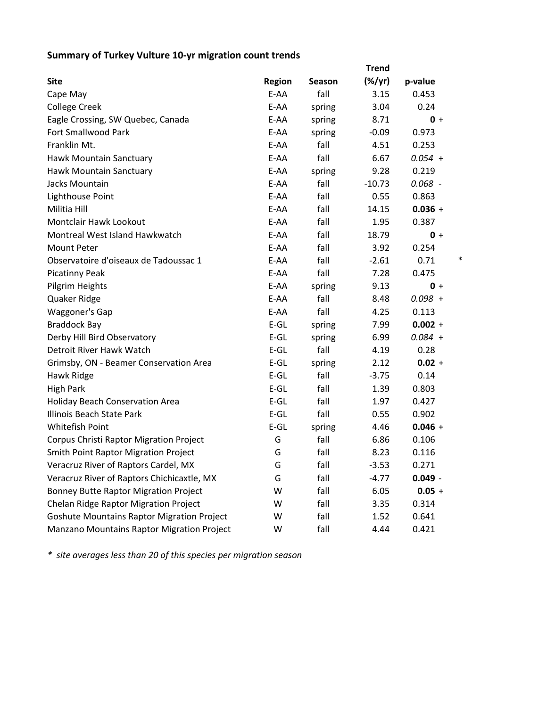## **Summary of Turkey Vulture 10‐yr migration count trends**

|                                                   |               |        | <b>Trend</b>    |           |
|---------------------------------------------------|---------------|--------|-----------------|-----------|
| <b>Site</b>                                       | <b>Region</b> | Season | $(\frac{9}{7})$ | p-value   |
| Cape May                                          | E-AA          | fall   | 3.15            | 0.453     |
| <b>College Creek</b>                              | E-AA          | spring | 3.04            | 0.24      |
| Eagle Crossing, SW Quebec, Canada                 | E-AA          | spring | 8.71            | $0 +$     |
| Fort Smallwood Park                               | E-AA          | spring | $-0.09$         | 0.973     |
| Franklin Mt.                                      | E-AA          | fall   | 4.51            | 0.253     |
| Hawk Mountain Sanctuary                           | E-AA          | fall   | 6.67            | $0.054 +$ |
| Hawk Mountain Sanctuary                           | E-AA          | spring | 9.28            | 0.219     |
| Jacks Mountain                                    | E-AA          | fall   | $-10.73$        | $0.068 -$ |
| Lighthouse Point                                  | E-AA          | fall   | 0.55            | 0.863     |
| Militia Hill                                      | E-AA          | fall   | 14.15           | $0.036 +$ |
| Montclair Hawk Lookout                            | E-AA          | fall   | 1.95            | 0.387     |
| Montreal West Island Hawkwatch                    | E-AA          | fall   | 18.79           | $0 +$     |
| Mount Peter                                       | E-AA          | fall   | 3.92            | 0.254     |
| Observatoire d'oiseaux de Tadoussac 1             | E-AA          | fall   | $-2.61$         | *<br>0.71 |
| <b>Picatinny Peak</b>                             | E-AA          | fall   | 7.28            | 0.475     |
| Pilgrim Heights                                   | E-AA          | spring | 9.13            | $0 +$     |
| Quaker Ridge                                      | E-AA          | fall   | 8.48            | $0.098 +$ |
| Waggoner's Gap                                    | E-AA          | fall   | 4.25            | 0.113     |
| <b>Braddock Bay</b>                               | $E-GL$        | spring | 7.99            | $0.002 +$ |
| Derby Hill Bird Observatory                       | $E-GL$        | spring | 6.99            | $0.084 +$ |
| Detroit River Hawk Watch                          | $E-GL$        | fall   | 4.19            | 0.28      |
| Grimsby, ON - Beamer Conservation Area            | $E-GL$        | spring | 2.12            | $0.02 +$  |
| Hawk Ridge                                        | $E-GL$        | fall   | $-3.75$         | 0.14      |
| <b>High Park</b>                                  | $E-GL$        | fall   | 1.39            | 0.803     |
| Holiday Beach Conservation Area                   | $E-GL$        | fall   | 1.97            | 0.427     |
| Illinois Beach State Park                         | $E-GL$        | fall   | 0.55            | 0.902     |
| <b>Whitefish Point</b>                            | $E-GL$        | spring | 4.46            | $0.046 +$ |
| Corpus Christi Raptor Migration Project           | G             | fall   | 6.86            | 0.106     |
| <b>Smith Point Raptor Migration Project</b>       | G             | fall   | 8.23            | 0.116     |
| Veracruz River of Raptors Cardel, MX              | G             | fall   | -3.53           | 0.271     |
| Veracruz River of Raptors Chichicaxtle, MX        | G             | fall   | $-4.77$         | $0.049 -$ |
| <b>Bonney Butte Raptor Migration Project</b>      | W             | fall   | 6.05            | $0.05 +$  |
| Chelan Ridge Raptor Migration Project             | W             | fall   | 3.35            | 0.314     |
| <b>Goshute Mountains Raptor Migration Project</b> | W             | fall   | 1.52            | 0.641     |
| Manzano Mountains Raptor Migration Project        | W             | fall   | 4.44            | 0.421     |

*\* site averages less than 20 of this species per migration season*